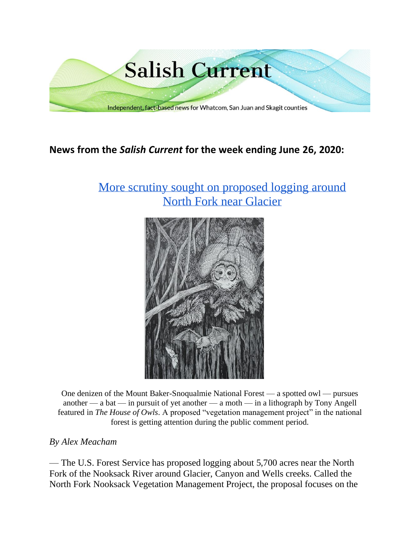

# **News from the** *Salish Current* **for the week ending June 26, 2020:**

# [More scrutiny sought on proposed logging around](https://salish-current.org/2020/06/26/more-scrutiny-sought-on-proposed-logging-around-north-fork-near-glacier/) [North Fork near Glacier](https://salish-current.org/2020/06/26/more-scrutiny-sought-on-proposed-logging-around-north-fork-near-glacier/)



One denizen of the Mount Baker-Snoqualmie National Forest — a spotted owl — pursues another — a bat — in pursuit of yet another — a moth — in a lithograph by Tony Angell featured in *The House of Owls*. A proposed "vegetation management project" in the national forest is getting attention during the public comment period.

## *By Alex Meacham*

— The U.S. Forest Service has proposed logging about 5,700 acres near the North Fork of the Nooksack River around Glacier, Canyon and Wells creeks. Called the North Fork Nooksack Vegetation Management Project, the proposal focuses on the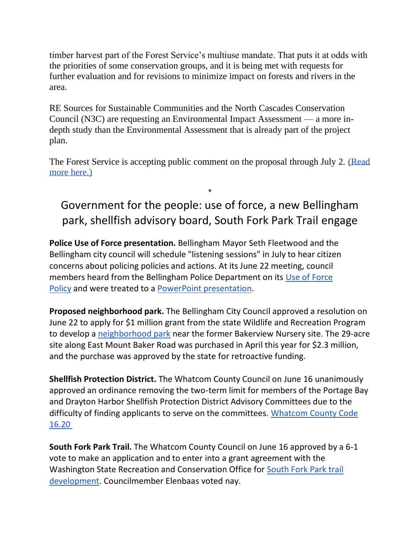timber harvest part of the Forest Service's multiuse mandate. That puts it at odds with the priorities of some conservation groups, and it is being met with requests for further evaluation and for revisions to minimize impact on forests and rivers in the area.

RE Sources for Sustainable Communities and the North Cascades Conservation Council (N3C) are requesting an Environmental Impact Assessment — a more indepth study than the Environmental Assessment that is already part of the project plan.

The Forest Service is accepting public comment on the proposal through July 2. (Read [more here.\)](https://salish-current.org/2020/06/26/more-scrutiny-sought-on-proposed-logging-around-north-fork-near-glacier/)

# Government for the people: use of force, a new Bellingham park, shellfish advisory board, South Fork Park Trail engage

\*

**Police Use of Force presentation.** Bellingham Mayor Seth Fleetwood and the Bellingham city council will schedule "listening sessions" in July to hear citizen concerns about policing policies and actions. At its June 22 meeting, council members heard from the Bellingham Police Department on its [Use of Force](https://meetings.cob.org/Documents/ViewDocument/Attachment%20-%20POLICY%20300%20USE%20OF%20FORCE%20-%20AB_%2022677.pdf?meetingId=2265&documentType=Agenda&itemId=14951&publishId=16127&isSection=false)  [Policy](https://meetings.cob.org/Documents/ViewDocument/Attachment%20-%20POLICY%20300%20USE%20OF%20FORCE%20-%20AB_%2022677.pdf?meetingId=2265&documentType=Agenda&itemId=14951&publishId=16127&isSection=false) and were treated to a [PowerPoint presentation.](https://meetings.cob.org/Documents/ViewDocument/Attachment%20-%20USE%20OF%20FORCE%20POWERPOINT%20-%20AB_%2022677.pdf?meetingId=2265&documentType=Agenda&itemId=14951&publishId=16128&isSection=false)

**Proposed neighborhood park.** The Bellingham City Council approved a resolution on June 22 to apply for \$1 million grant from the state Wildlife and Recreation Program to develop a [neighborhood park](https://meetings.cob.org/Documents/ViewDocument/Staff%20Memo%20for%20AB%2022673.pdf?meetingId=2265&documentType=Agenda&itemId=14947&publishId=16114&isSection=false) near the former Bakerview Nursery site. The 29-acre site along East Mount Baker Road was purchased in April this year for \$2.3 million, and the purchase was approved by the state for retroactive funding.

**Shellfish Protection District.** The Whatcom County Council on June 16 unanimously approved an ordinance removing the two-term limit for members of the Portage Bay and Drayton Harbor Shellfish Protection District Advisory Committees due to the difficulty of finding applicants to serve on the committees. Whatcom County Code [16.20](https://whatcom.legistar.com/View.ashx?M=F&ID=8175502&GUID=1121C98E-6983-4F14-A233-841C01949EFE)

**South Fork Park Trail.** The Whatcom County Council on June 16 approved by a 6-1 vote to make an application and to enter into a grant agreement with the Washington State Recreation and Conservation Office for [South Fork Park trail](https://whatcom.legistar.com/View.ashx?M=F&ID=8602731&GUID=0E89D526-CE77-435A-A666-0913EEE8261E)  [development.](https://whatcom.legistar.com/View.ashx?M=F&ID=8602731&GUID=0E89D526-CE77-435A-A666-0913EEE8261E) Councilmember Elenbaas voted nay.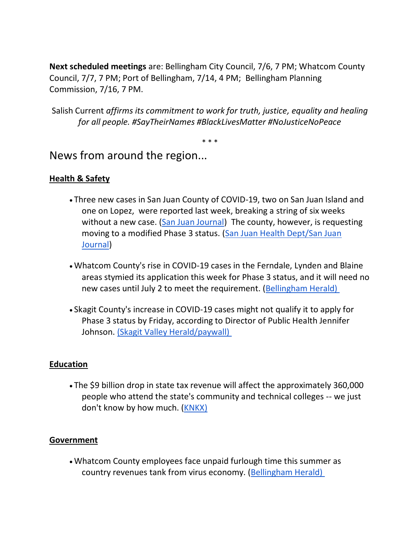**Next scheduled meetings** are: Bellingham City Council, 7/6, 7 PM; Whatcom County Council, 7/7, 7 PM; Port of Bellingham, 7/14, 4 PM; Bellingham Planning Commission, 7/16, 7 PM.

Salish Current *affirms its commitment to work for truth, justice, equality and healing for all people. #SayTheirNames #BlackLivesMatter #NoJusticeNoPeace*

\* \* \*

News from around the region...

# **Health & Safety**

- Three new cases in San Juan County of COVID-19, two on San Juan Island and one on Lopez, were reported last week, breaking a string of six weeks without a new case. [\(San Juan Journal\)](https://www.sanjuanjournal.com/news/three-new-cases-of-covid-19-in-the-county/) The county, however, is requesting moving to a modified Phase 3 status. [\(San Juan Health Dept/San Juan](https://www.sanjuanjournal.com/news/county-to-request-moving-to-modified-phase-three/)  [Journal\)](https://www.sanjuanjournal.com/news/county-to-request-moving-to-modified-phase-three/)
- Whatcom County's rise in COVID-19 cases in the Ferndale, Lynden and Blaine areas stymied its application this week for Phase 3 status, and it will need no new cases until July 2 to meet the requirement. [\(Bellingham Herald\)](https://www.bellinghamherald.com/news/coronavirus/article243751422.html)
- Skagit County's increase in COVID-19 cases might not qualify it to apply for Phase 3 status by Friday, according to Director of Public Health Jennifer Johnson. [\(Skagit Valley Herald/paywall\)](https://www.goskagit.com/news/skagit-county-unlikely-to-be-ready-for-phase-3/article_5931ad6e-c7cb-5251-8b64-412372dc01e6.html)

## **Education**

• The \$9 billion drop in state tax revenue will affect the approximately 360,000 people who attend the state's community and technical colleges -- we just don't know by how much. [\(KNKX\)](https://www.knkx.org/post/washingtons-community-and-technical-colleges-brace-big-budget-cuts)

### **Government**

• Whatcom County employees face unpaid furlough time this summer as country revenues tank from virus economy. [\(Bellingham Herald\)](https://www.bellinghamherald.com/news/local/article243794832.html)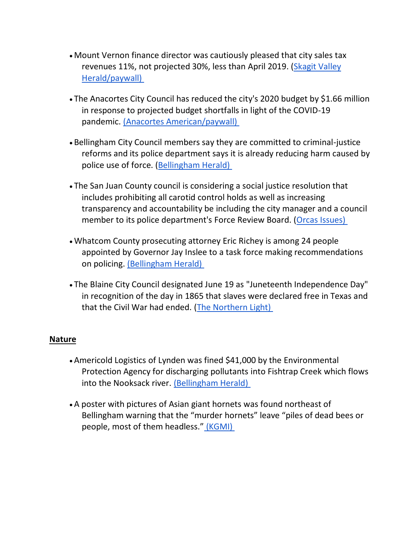- Mount Vernon finance director was cautiously pleased that city sales tax revenues 11%, not projected 30%, less than April 2019. [\(Skagit Valley](https://www.goskagit.com/news/local_news/mount-vernon-sales-tax-revenue-beats-projections/article_545a3871-47e9-5535-848c-8ba58169d23d.html)  [Herald/paywall\)](https://www.goskagit.com/news/local_news/mount-vernon-sales-tax-revenue-beats-projections/article_545a3871-47e9-5535-848c-8ba58169d23d.html)
- The Anacortes City Council has reduced the city's 2020 budget by \$1.66 million in response to projected budget shortfalls in light of the COVID-19 pandemic. [\(Anacortes American/paywall\)](https://www.goskagit.com/anacortes/coronavirus/city-amends-2020-budget/article_9f6de738-b595-11ea-8a86-4777a2df3d24.html)
- Bellingham City Council members say they are committed to criminal-justice reforms and its police department says it is already reducing harm caused by police use of force. [\(Bellingham Herald\)](https://www.bellinghamherald.com/news/local/article243721617.html?)
- The San Juan County council is considering a social justice resolution that includes prohibiting all carotid control holds as well as increasing transparency and accountability be including the city manager and a council member to its police department's Force Review Board. [\(Orcas Issues\)](https://orcasissues.com/county-council-considers-resolution-addressing-use-of-force-policies-and-social-justice/)
- Whatcom County prosecuting attorney Eric Richey is among 24 people appointed by Governor Jay Inslee to a task force making recommendations on policing. [\(Bellingham Herald\)](https://www.bellinghamherald.com/news/local/article243725617.html)
- The Blaine City Council designated June 19 as "Juneteenth Independence Day" in recognition of the day in 1865 that slaves were declared free in Texas and that the Civil War had ended. [\(The Northern Light\)](https://www.thenorthernlight.com/stories/blaine-city-council-recognizes-juneteenth-independence-day,10837?)

### **Nature**

- Americold Logistics of Lynden was fined \$41,000 by the Environmental Protection Agency for discharging pollutants into Fishtrap Creek which flows into the Nooksack river. [\(Bellingham Herald\)](https://www.bellinghamherald.com/news/local/article243775072.html)
- A poster with pictures of Asian giant hornets was found northeast of Bellingham warning that the "murder hornets" leave "piles of dead bees or people, most of them headless." [\(KGMI\)](https://kgmi.com/news/007700-fake-asian-giant-hornet-posters-found-around-bellingham/)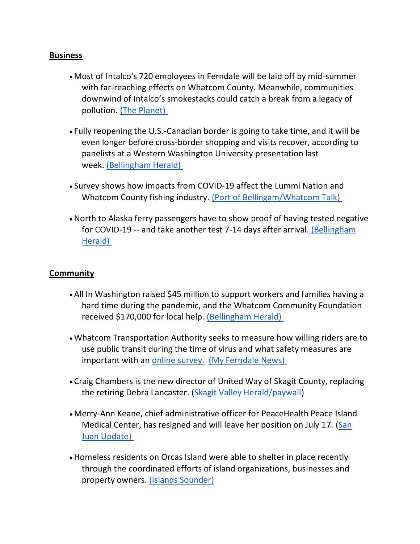#### **Business**

- Most of Intalco's 720 employees in Ferndale will be laid off by mid-summer with far-reaching effects on Whatcom County. Meanwhile, communities downwind of Intalco's smokestacks could catch a break from a legacy of pollution. [\(The Planet\)](https://theplanetmagazine.net/helter-smelter-412ed269a5b5)
- Fully reopening the U.S.-Canadian border is going to take time, and it will be even longer before cross-border shopping and visits recover, according to panelists at a Western Washington University presentation last week. [\(Bellingham Herald\)](https://www.bellinghamherald.com/news/rebuild/article243666227.html)
- Survey shows how impacts from COVID-19 affect the Lummi Nation and Whatcom County fishing industry. [\(Port of Bellingam/Whatcom Talk\)](https://www.whatcomtalk.com/2020/06/22/new-report-reviews-survey-results-and-interviews-on-the-economic-impacts-of-covid-19-on-the-lummi-nation-and-whatcom-county-fishing-industry/)
- •North to Alaska ferry passengers have to show proof of having tested negative for COVID-19 -- and take another test 7-14 days after arrival. [\(Bellingham](https://www.bellinghamherald.com/news/local/article243718677.html)  [Herald\)](https://www.bellinghamherald.com/news/local/article243718677.html)

#### **Community**

- All In Washington raised \$45 million to support workers and families having a hard time during the pandemic, and the Whatcom Community Foundation received \$170,000 for local help. [\(Bellingham Herald\)](https://www.bellinghamherald.com/news/local/article243781517.html)
- Whatcom Transportation Authority seeks to measure how willing riders are to use public transit during the time of virus and what safety measures are important with an [online survey.](https://www.surveymonkey.com/r/7PP3YPP) [\(My Ferndale News\)](https://myferndalenews.com/wta-seeks-bus-rider-community-input-on-service-use-during-covid-19-pandemic_104478/)
- Craig Chambers is the new director of United Way of Skagit County, replacing the retiring Debra Lancaster. [\(Skagit Valley Herald/paywall\)](https://www.goskagit.com/news/local_news/united-way-of-skagit-county-names-new-director/article_30767219-725c-574a-984f-a34198d59972.html)
- Merry-Ann Keane, chief administrative officer for PeaceHealth Peace Island Medical Center, has resigned and will leave her position on July 17. (San [Juan Update\)](https://sanjuanupdate.com/2020/06/merry-ann-keane-to-leave-peacehealth/)
- Homeless residents on Orcas Island were able to shelter in place recently through the coordinated efforts of island organizations, businesses and property owners. [\(Islands Sounder\)](https://www.islandssounder.com/news/how-orcas-has-helped-the-homeless-shelter-in-place/)